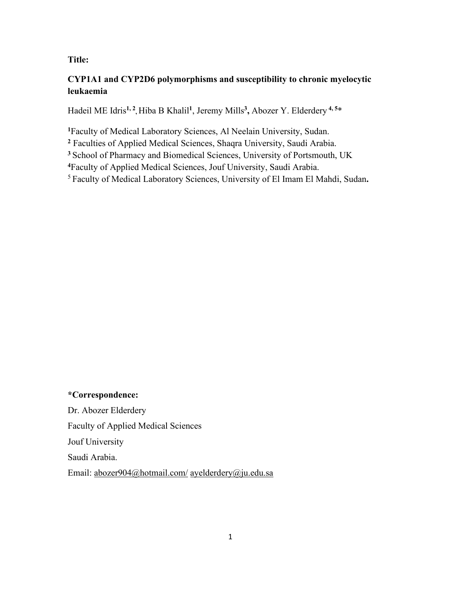# **Title:**

# **CYP1A1 and CYP2D6 polymorphisms and susceptibility to chronic myelocytic leukaemia**

Hadeil ME Idris**1, 2,** Hiba B Khalil**<sup>1</sup>**, Jeremy Mills**3,** Abozer Y. Elderdery **4, 5**\*

**<sup>1</sup>**Faculty of Medical Laboratory Sciences, Al Neelain University, Sudan.

**<sup>2</sup>** Faculties of Applied Medical Sciences, Shaqra University, Saudi Arabia.

**<sup>3</sup>** School of Pharmacy and Biomedical Sciences, University of Portsmouth, UK

**<sup>4</sup>**Faculty of Applied Medical Sciences, Jouf University, Saudi Arabia.

5 Faculty of Medical Laboratory Sciences, University of El Imam El Mahdi, Sudan**.**

# **\*Correspondence:**

Dr. Abozer Elderdery Faculty of Applied Medical Sciences Jouf University Saudi Arabia. Email: [abozer904@hotmail.com/](mailto:abozer904@hotmail.com/) [ayelderdery@ju.edu.sa](mailto:ayelderdery@ju.edu.sa)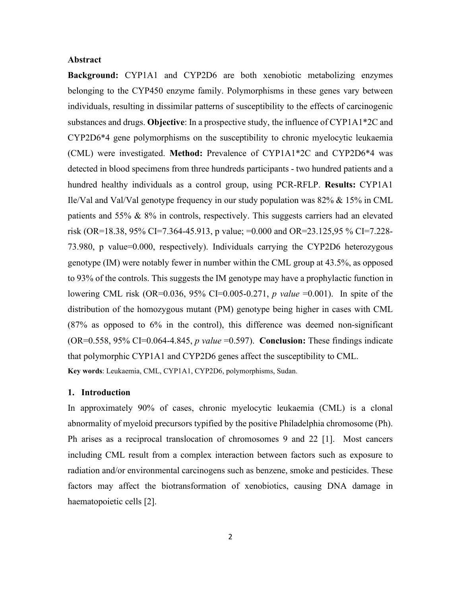## **Abstract**

**Background:** CYP1A1 and CYP2D6 are both xenobiotic metabolizing enzymes belonging to the CYP450 enzyme family. Polymorphisms in these genes vary between individuals, resulting in dissimilar patterns of susceptibility to the effects of carcinogenic substances and drugs. **Objective**: In a prospective study, the influence of CYP1A1\*2C and CYP2D6\*4 gene polymorphisms on the susceptibility to chronic myelocytic leukaemia (CML) were investigated. **Method:** Prevalence of CYP1A1\*2C and CYP2D6\*4 was detected in blood specimens from three hundreds participants - two hundred patients and a hundred healthy individuals as a control group, using PCR-RFLP. **Results:** CYP1A1 Ile/Val and Val/Val genotype frequency in our study population was 82% & 15% in CML patients and 55% & 8% in controls, respectively. This suggests carriers had an elevated risk (OR=18.38, 95% CI=7.364-45.913, p value;  $=0.000$  and OR=23.125,95 % CI=7.228-73.980, p value=0.000, respectively). Individuals carrying the CYP2D6 heterozygous genotype (IM) were notably fewer in number within the CML group at 43.5%, as opposed to 93% of the controls. This suggests the IM genotype may have a prophylactic function in lowering CML risk (OR=0.036, 95% CI=0.005-0.271, *p value* =0.001). In spite of the distribution of the homozygous mutant (PM) genotype being higher in cases with CML (87% as opposed to 6% in the control), this difference was deemed non-significant (OR=0.558, 95% CI=0.064-4.845, *p value* =0.597). **Conclusion:** These findings indicate that polymorphic CYP1A1 and CYP2D6 genes affect the susceptibility to CML. **Key words**: Leukaemia, CML, CYP1A1, CYP2D6, polymorphisms, Sudan.

#### **1. Introduction**

In approximately 90% of cases, chronic myelocytic leukaemia (CML) is a clonal abnormality of myeloid precursors typified by the positive Philadelphia chromosome (Ph). Ph arises as a reciprocal translocation of chromosomes 9 and 22 [1]. Most cancers including CML result from a complex interaction between factors such as exposure to radiation and/or environmental carcinogens such as benzene, smoke and pesticides. These factors may affect the biotransformation of xenobiotics, causing DNA damage in haematopoietic cells [2].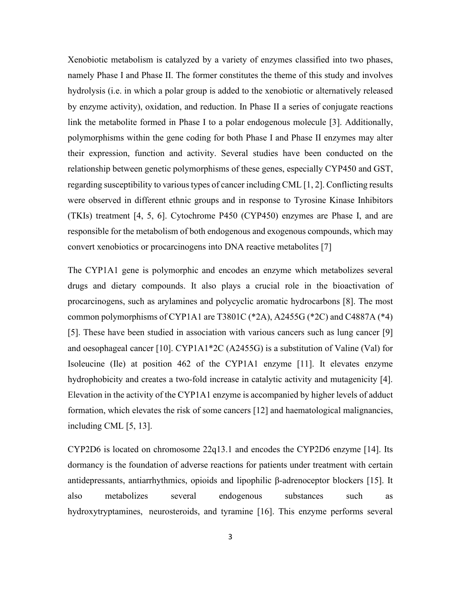Xenobiotic metabolism is catalyzed by a variety of enzymes classified into two phases, namely Phase I and Phase II. The former constitutes the theme of this study and involves hydrolysis (i.e. in which a polar group is added to the xenobiotic or alternatively released by enzyme activity), oxidation, and reduction. In Phase II a series of conjugate reactions link the metabolite formed in Phase I to a polar endogenous molecule [3]. Additionally, polymorphisms within the gene coding for both Phase I and Phase II enzymes may alter their expression, function and activity. Several studies have been conducted on the relationship between genetic polymorphisms of these genes, especially CYP450 and GST, regarding susceptibility to various types of cancer including CML [1, 2]. Conflicting results were observed in different ethnic groups and in response to Tyrosine Kinase Inhibitors (TKIs) treatment [4, 5, 6]. Cytochrome P450 (CYP450) enzymes are Phase I, and are responsible for the metabolism of both endogenous and exogenous compounds, which may convert xenobiotics or procarcinogens into DNA reactive metabolites [\[7\]](#page-11-0)

The CYP1A1 gene is polymorphic and encodes an enzyme which metabolizes several drugs and dietary compounds. It also plays a crucial role in the bioactivation of procarcinogens, such as arylamines and polycyclic aromatic hydrocarbons [8]. The most common polymorphisms of CYP1A1 are T3801C (\*2A), A2455G (\*2C) and C4887A (\*4) [5]. These have been studied in association with various cancers such as lung cancer [9] and oesophageal cancer [10]. CYP1A1\*2C (A2455G) is a substitution of Valine (Val) for Isoleucine (Ile) at position 462 of the CYP1A1 enzyme [11]. It elevates enzyme hydrophobicity and creates a two-fold increase in catalytic activity and mutagenicity [4]. Elevation in the activity of the CYP1A1 enzyme is accompanied by higher levels of adduct formation, which elevates the risk of some cancers [12] and haematological malignancies, including CML [5, 13].

CYP2D6 is located on chromosome 22q13.1 and encodes the CYP2D6 enzyme [14]. Its dormancy is the foundation of adverse reactions for patients under treatment with certain antidepressants, antiarrhythmics, opioids and lipophilic β-adrenoceptor blockers [15]. It also metabolizes several endogenous substances such as hydroxytryptamines, neurosteroids, and tyramine [16]. This enzyme performs several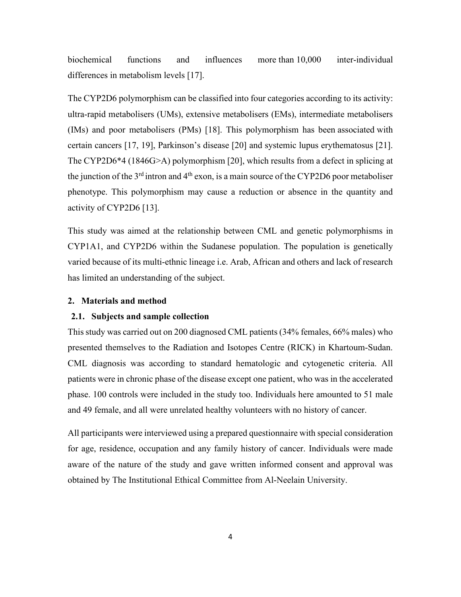biochemical functions and influences more than 10,000 inter-individual differences in metabolism levels [17].

The CYP2D6 polymorphism can be classified into four categories according to its activity: ultra-rapid metabolisers (UMs), extensive metabolisers (EMs), intermediate metabolisers (IMs) and poor metabolisers (PMs) [18]. This polymorphism has been associated with certain cancers [17, 19], Parkinson's disease [20] and systemic lupus erythematosus [21]. The CYP2D6\*4 (1846G>A) polymorphism [20], which results from a defect in splicing at the junction of the  $3<sup>rd</sup>$  intron and  $4<sup>th</sup>$  exon, is a main source of the CYP2D6 poor metaboliser phenotype. This polymorphism may cause a reduction or absence in the quantity and activity of CYP2D6 [13].

This study was aimed at the relationship between CML and genetic polymorphisms in CYP1A1, and CYP2D6 within the Sudanese population. The population is genetically varied because of its multi-ethnic lineage i.e. Arab, African and others and lack of research has limited an understanding of the subject.

# **2. Materials and method**

## **2.1. Subjects and sample collection**

This study was carried out on 200 diagnosed CML patients (34% females, 66% males) who presented themselves to the Radiation and Isotopes Centre (RICK) in Khartoum-Sudan. CML diagnosis was according to standard hematologic and cytogenetic criteria. All patients were in chronic phase of the disease except one patient, who was in the accelerated phase. 100 controls were included in the study too. Individuals here amounted to 51 male and 49 female, and all were unrelated healthy volunteers with no history of cancer.

All participants were interviewed using a prepared questionnaire with special consideration for age, residence, occupation and any family history of cancer. Individuals were made aware of the nature of the study and gave written informed consent and approval was obtained by The Institutional Ethical Committee from Al-Neelain University.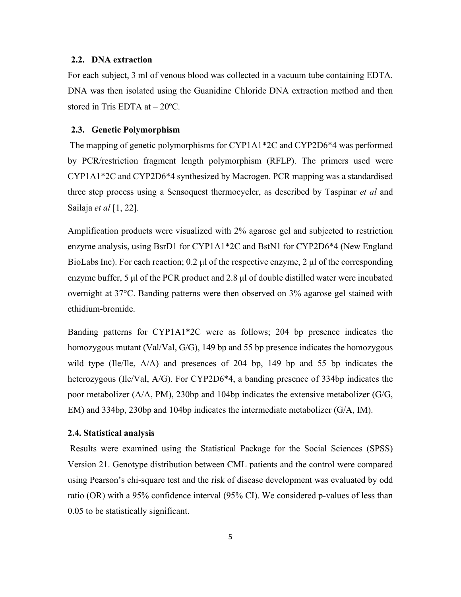## **2.2. DNA extraction**

For each subject, 3 ml of venous blood was collected in a vacuum tube containing EDTA. DNA was then isolated using the Guanidine Chloride DNA extraction method and then stored in Tris EDTA at – 20ºC.

## **2.3. Genetic Polymorphism**

The mapping of genetic polymorphisms for CYP1A1\*2C and CYP2D6\*4 was performed by PCR/restriction fragment length polymorphism (RFLP). The primers used were CYP1A1\*2C and CYP2D6\*4 synthesized by Macrogen. PCR mapping was a standardised three step process using a Sensoquest thermocycler, as described by Taspinar *et al* and Sailaja *et al* [1, 22].

Amplification products were visualized with 2% agarose gel and subjected to restriction enzyme analysis, using BsrD1 for CYP1A1\*2C and BstN1 for CYP2D6\*4 (New England BioLabs Inc). For each reaction; 0.2 μl of the respective enzyme, 2 μl of the corresponding enzyme buffer, 5 μl of the PCR product and 2.8 μl of double distilled water were incubated overnight at 37°C. Banding patterns were then observed on 3% agarose gel stained with ethidium-bromide.

Banding patterns for CYP1A1\*2C were as follows; 204 bp presence indicates the homozygous mutant (Val/Val, G/G), 149 bp and 55 bp presence indicates the homozygous wild type (Ile/Ile,  $A/A$ ) and presences of 204 bp, 149 bp and 55 bp indicates the heterozygous (Ile/Val, A/G). For CYP2D6\*4, a banding presence of 334bp indicates the poor metabolizer ( $A/A$ , PM), 230bp and 104bp indicates the extensive metabolizer ( $G/G$ , EM) and 334bp, 230bp and 104bp indicates the intermediate metabolizer (G/A, IM).

#### **2.4. Statistical analysis**

Results were examined using the Statistical Package for the Social Sciences (SPSS) Version 21. Genotype distribution between CML patients and the control were compared using Pearson's chi-square test and the risk of disease development was evaluated by odd ratio (OR) with a 95% confidence interval (95% CI). We considered p-values of less than 0.05 to be statistically significant.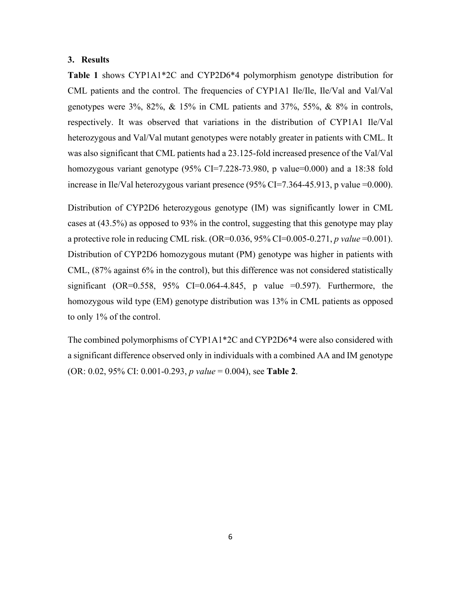## **3. Results**

**Table 1** shows CYP1A1\*2C and CYP2D6\*4 polymorphism genotype distribution for CML patients and the control. The frequencies of CYP1A1 Ile/Ile, Ile/Val and Val/Val genotypes were 3%, 82%, & 15% in CML patients and 37%, 55%, & 8% in controls, respectively. It was observed that variations in the distribution of CYP1A1 Ile/Val heterozygous and Val/Val mutant genotypes were notably greater in patients with CML. It was also significant that CML patients had a 23.125-fold increased presence of the Val/Val homozygous variant genotype (95% CI=7.228-73.980, p value=0.000) and a 18:38 fold increase in Ile/Val heterozygous variant presence  $(95\%$  CI=7.364-45.913, p value =0.000).

Distribution of CYP2D6 heterozygous genotype (IM) was significantly lower in CML cases at (43.5%) as opposed to 93% in the control, suggesting that this genotype may play a protective role in reducing CML risk. (OR=0.036, 95% CI=0.005-0.271, *p value* =0.001). Distribution of CYP2D6 homozygous mutant (PM) genotype was higher in patients with CML, (87% against 6% in the control), but this difference was not considered statistically significant (OR=0.558, 95% CI=0.064-4.845, p value =0.597). Furthermore, the homozygous wild type (EM) genotype distribution was 13% in CML patients as opposed to only 1% of the control.

The combined polymorphisms of CYP1A1\*2C and CYP2D6\*4 were also considered with a significant difference observed only in individuals with a combined AA and IM genotype (OR: 0.02, 95% CI: 0.001-0.293, *p value* = 0.004), see **Table 2**.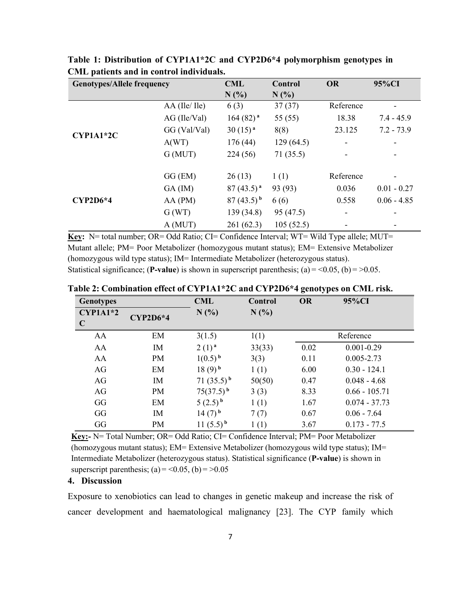| <b>Genotypes/Allele frequency</b> |                 | <b>CML</b>           | Control   | <b>OR</b> | 95%CI                    |
|-----------------------------------|-----------------|----------------------|-----------|-----------|--------------------------|
|                                   |                 | N(%                  | N(%       |           |                          |
| CYP1A1*2C                         | $AA$ (Ile/ Ile) | 6(3)                 | 37(37)    | Reference | -                        |
|                                   | $AG$ (Ile/Val)  | 164(82) <sup>a</sup> | 55 (55)   | 18.38     | $7.4 - 45.9$             |
|                                   | GG (Val/Val)    | 30(15) <sup>a</sup>  | 8(8)      | 23.125    | $7.2 - 73.9$             |
|                                   | A(WT)           | 176(44)              | 129(64.5) |           |                          |
|                                   | G(MUT)          | 224(56)              | 71(35.5)  |           | -                        |
| <b>CYP2D6*4</b>                   | GG (EM)         | 26(13)               | 1(1)      | Reference | $\overline{\phantom{a}}$ |
|                                   | $GA$ (IM)       | $87(43.5)^{a}$       | 93 (93)   | 0.036     | $0.01 - 0.27$            |
|                                   | AA(PM)          | $87(43.5)^{b}$       | 6(6)      | 0.558     | $0.06 - 4.85$            |
|                                   | G(WT)           | 139 (34.8)           | 95 (47.5) |           |                          |
|                                   | A (MUT)         | 261(62.3)            | 105(52.5) |           | -                        |

**Table 1: Distribution of CYP1A1\*2C and CYP2D6\*4 polymorphism genotypes in CML patients and in control individuals.**

Key: N= total number; OR= Odd Ratio; CI= Confidence Interval; WT= Wild Type allele; MUT= Mutant allele; PM= Poor Metabolizer (homozygous mutant status); EM= Extensive Metabolizer (homozygous wild type status); IM= Intermediate Metabolizer (heterozygous status). Statistical significance; (**P-value**) is shown in superscript parenthesis; (a) =  $0.05$ , (b) =  $0.05$ .

| <b>Genotypes</b> |            | <b>CML</b>           | Control | <b>OR</b> | 95%CI           |  |  |
|------------------|------------|----------------------|---------|-----------|-----------------|--|--|
| $CYP1A1*2$       | $CYP2D6*4$ | N(%                  | N(%     |           |                 |  |  |
| $\mathbf C$      |            |                      |         |           |                 |  |  |
| AA               | EM         | 3(1.5)               | 1(1)    |           | Reference       |  |  |
| AA               | IM         | $2(1)^{a}$           | 33(33)  | 0.02      | $0.001 - 0.29$  |  |  |
| AA               | PM         | $1(0.5)^{b}$         | 3(3)    | 0.11      | $0.005 - 2.73$  |  |  |
| AG               | EM         | $18(9)^{b}$          | 1(1)    | 6.00      | $0.30 - 124.1$  |  |  |
| AG               | IM         | $71(35.5)^{b}$       | 50(50)  | 0.47      | $0.048 - 4.68$  |  |  |
| AG               | PM         | $75(37.5)^{b}$       | 3(3)    | 8.33      | $0.66 - 105.71$ |  |  |
| GG               | EM         | $(2.5)^{b}$          | 1(1)    | 1.67      | $0.074 - 37.73$ |  |  |
| GG               | IM         | $14(7)$ <sup>b</sup> | 7(7)    | 0.67      | $0.06 - 7.64$   |  |  |
| GG               | PM         | $11(5.5)^{b}$        | 1(1)    | 3.67      | $0.173 - 77.5$  |  |  |

**Table 2: Combination effect of CYP1A1\*2C and CYP2D6\*4 genotypes on CML risk.** 

**Key:-** N= Total Number; OR= Odd Ratio; CI= Confidence Interval; PM= Poor Metabolizer (homozygous mutant status); EM= Extensive Metabolizer (homozygous wild type status); IM= Intermediate Metabolizer (heterozygous status). Statistical significance (**P-value**) is shown in superscript parenthesis; (a) =  $\leq$  0.05, (b) =  $\geq$  0.05

# **4. Discussion**

Exposure to xenobiotics can lead to changes in genetic makeup and increase the risk of cancer development and haematological malignancy [23]. The CYP family which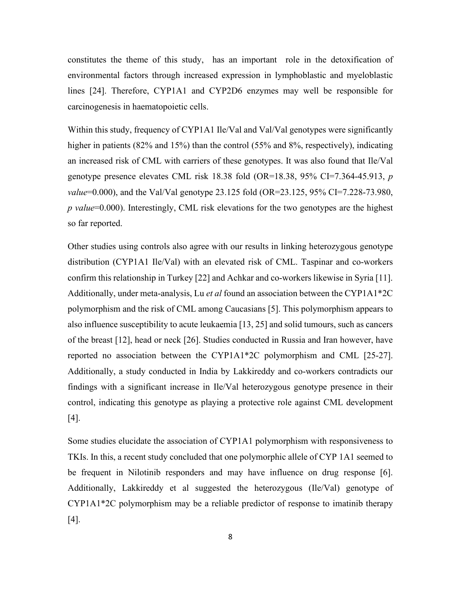constitutes the theme of this study, has an important role in the detoxification of environmental factors through increased expression in lymphoblastic and myeloblastic lines [24]. Therefore, CYP1A1 and CYP2D6 enzymes may well be responsible for carcinogenesis in haematopoietic cells.

Within this study, frequency of CYP1A1 Ile/Val and Val/Val genotypes were significantly higher in patients (82% and 15%) than the control (55% and 8%, respectively), indicating an increased risk of CML with carriers of these genotypes. It was also found that Ile/Val genotype presence elevates CML risk 18.38 fold (OR=18.38, 95% CI=7.364-45.913, *p value*=0.000), and the Val/Val genotype 23.125 fold (OR=23.125, 95% CI=7.228-73.980, *p value*=0.000). Interestingly, CML risk elevations for the two genotypes are the highest so far reported.

Other studies using controls also agree with our results in linking heterozygous genotype distribution (CYP1A1 Ile/Val) with an elevated risk of CML. Taspinar and co-workers confirm this relationship in Turkey [22] and Achkar and co-workers likewise in Syria [11]. Additionally, under meta-analysis, Lu *et al* found an association between the CYP1A1\*2C polymorphism and the risk of CML among Caucasians [5]. This polymorphism appears to also influence susceptibility to acute leukaemia [13, 25] and solid tumours, such as cancers of the breast [12], head or neck [26]. Studies conducted in Russia and Iran however, have reported no association between the CYP1A1\*2C polymorphism and CML [25-27]. Additionally, a study conducted in India by Lakkireddy and co-workers contradicts our findings with a significant increase in Ile/Val heterozygous genotype presence in their control, indicating this genotype as playing a protective role against CML development [4].

Some studies elucidate the association of CYP1A1 polymorphism with responsiveness to TKIs. In this, a recent study concluded that one polymorphic allele of CYP 1A1 seemed to be frequent in Nilotinib responders and may have influence on drug response [6]. Additionally, Lakkireddy et al suggested the heterozygous (Ile/Val) genotype of CYP1A1\*2C polymorphism may be a reliable predictor of response to imatinib therapy [4].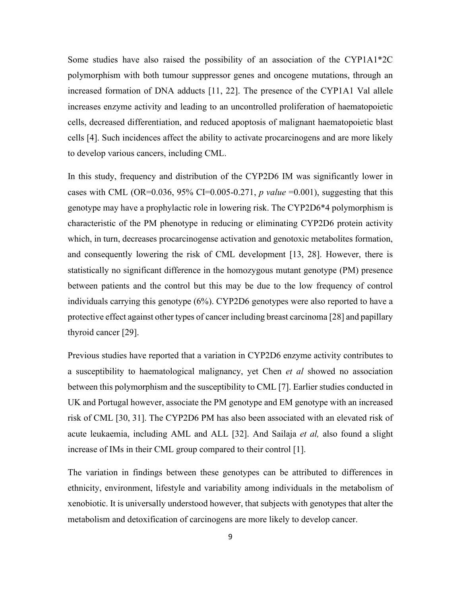Some studies have also raised the possibility of an association of the CYP1A1\*2C polymorphism with both tumour suppressor genes and oncogene mutations, through an increased formation of DNA adducts [11, 22]. The presence of the CYP1A1 Val allele increases enzyme activity and leading to an uncontrolled proliferation of haematopoietic cells, decreased differentiation, and reduced apoptosis of malignant haematopoietic blast cells [4]. Such incidences affect the ability to activate procarcinogens and are more likely to develop various cancers, including CML.

In this study, frequency and distribution of the CYP2D6 IM was significantly lower in cases with CML (OR=0.036, 95% CI=0.005-0.271, *p value* =0.001), suggesting that this genotype may have a prophylactic role in lowering risk. The CYP2D6\*4 polymorphism is characteristic of the PM phenotype in reducing or eliminating CYP2D6 protein activity which, in turn, decreases procarcinogense activation and genotoxic metabolites formation, and consequently lowering the risk of CML development [13, 28]. However, there is statistically no significant difference in the homozygous mutant genotype (PM) presence between patients and the control but this may be due to the low frequency of control individuals carrying this genotype (6%). CYP2D6 genotypes were also reported to have a protective effect against other types of cancer including breast carcinoma [28] and papillary thyroid cancer [29].

Previous studies have reported that a variation in CYP2D6 enzyme activity contributes to a susceptibility to haematological malignancy, yet Chen *et al* showed no association between this polymorphism and the susceptibility to CML [\[7\]](#page-11-0). Earlier studies conducted in UK and Portugal however, associate the PM genotype and EM genotype with an increased risk of CML [30, 31]. The CYP2D6 PM has also been associated with an elevated risk of acute leukaemia, including AML and ALL [32]. And Sailaja *et al,* also found a slight increase of IMs in their CML group compared to their control [1].

The variation in findings between these genotypes can be attributed to differences in ethnicity, environment, lifestyle and variability among individuals in the metabolism of xenobiotic. It is universally understood however, that subjects with genotypes that alter the metabolism and detoxification of carcinogens are more likely to develop cancer.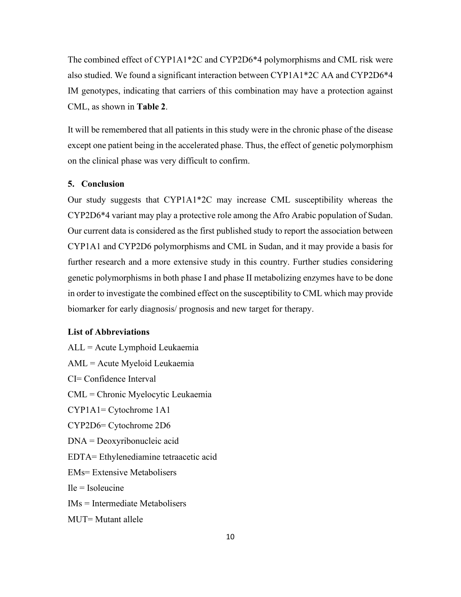The combined effect of CYP1A1\*2C and CYP2D6\*4 polymorphisms and CML risk were also studied. We found a significant interaction between CYP1A1\*2C AA and CYP2D6\*4 IM genotypes, indicating that carriers of this combination may have a protection against CML, as shown in **Table 2**.

It will be remembered that all patients in this study were in the chronic phase of the disease except one patient being in the accelerated phase. Thus, the effect of genetic polymorphism on the clinical phase was very difficult to confirm.

## **5. Conclusion**

Our study suggests that CYP1A1\*2C may increase CML susceptibility whereas the CYP2D6\*4 variant may play a protective role among the Afro Arabic population of Sudan. Our current data is considered as the first published study to report the association between CYP1A1 and CYP2D6 polymorphisms and CML in Sudan, and it may provide a basis for further research and a more extensive study in this country. Further studies considering genetic polymorphisms in both phase I and phase II metabolizing enzymes have to be done in order to investigate the combined effect on the susceptibility to CML which may provide biomarker for early diagnosis/ prognosis and new target for therapy.

## **List of Abbreviations**

ALL = Acute Lymphoid Leukaemia AML = Acute Myeloid Leukaemia CI= Confidence Interval CML = Chronic Myelocytic Leukaemia CYP1A1= Cytochrome 1A1 CYP2D6= Cytochrome 2D6 DNA = Deoxyribonucleic acid EDTA= Ethylenediamine tetraacetic acid EMs= Extensive Metabolisers  $I = Isoleu$ cine IMs = Intermediate Metabolisers MUT= Mutant allele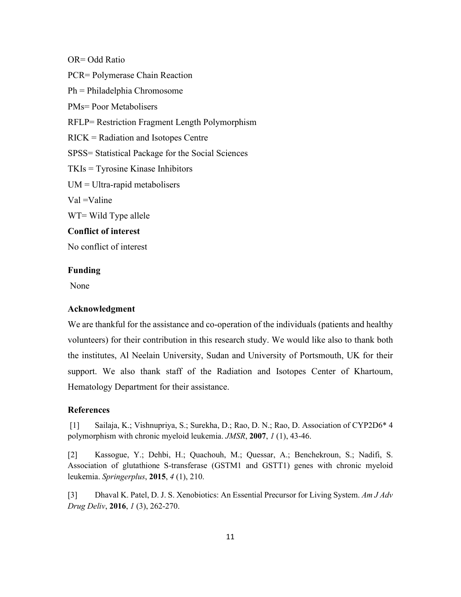OR= Odd Ratio PCR= Polymerase Chain Reaction Ph = Philadelphia Chromosome PMs= Poor Metabolisers RFLP= Restriction Fragment Length Polymorphism RICK = Radiation and Isotopes Centre SPSS= Statistical Package for the Social Sciences TKIs = Tyrosine Kinase Inhibitors UM = Ultra-rapid metabolisers Val =Valine WT= Wild Type allele **Conflict of interest** No conflict of interest

## **Funding**

None

## **Acknowledgment**

We are thankful for the assistance and co-operation of the individuals (patients and healthy volunteers) for their contribution in this research study. We would like also to thank both the institutes, Al Neelain University, Sudan and University of Portsmouth, UK for their support. We also thank staff of the Radiation and Isotopes Center of Khartoum, Hematology Department for their assistance.

# **References**

[1] Sailaja, K.; Vishnupriya, S.; Surekha, D.; Rao, D. N.; Rao, D. Association of CYP2D6\* 4 polymorphism with chronic myeloid leukemia. *JMSR*, **2007**, *1* (1), 43-46.

[2] Kassogue, Y.; Dehbi, H.; Quachouh, M.; Quessar, A.; Benchekroun, S.; Nadifi, S. Association of glutathione S-transferase (GSTM1 and GSTT1) genes with chronic myeloid leukemia. *Springerplus*, **2015**, *4* (1), 210.

[3] Dhaval K. Patel, D. J. S. Xenobiotics: An Essential Precursor for Living System. *Am J Adv Drug Deliv*, **2016**, *1* (3), 262-270.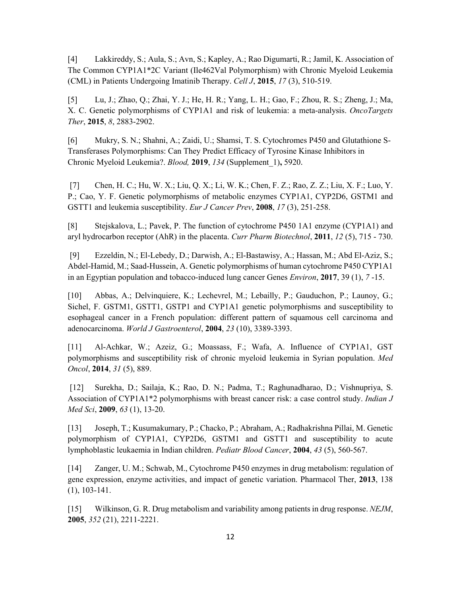[4] Lakkireddy, S.; Aula, S.; Avn, S.; Kapley, A.; Rao Digumarti, R.; Jamil, K. Association of The Common CYP1A1\*2C Variant (Ile462Val Polymorphism) with Chronic Myeloid Leukemia (CML) in Patients Undergoing Imatinib Therapy. *Cell J*, **2015**, *17* (3), 510-519.

[5] Lu, J.; Zhao, Q.; Zhai, Y. J.; He, H. R.; Yang, L. H.; Gao, F.; Zhou, R. S.; Zheng, J.; Ma, X. C. Genetic polymorphisms of CYP1A1 and risk of leukemia: a meta-analysis. *OncoTargets Ther*, **2015**, *8*, 2883-2902.

<span id="page-11-0"></span>[6] Mukry, S. N.; Shahni, A.; Zaidi, U.; Shamsi, T. S. Cytochromes P450 and Glutathione S-Transferases Polymorphisms: Can They Predict Efficacy of Tyrosine Kinase Inhibitors in Chronic Myeloid Leukemia?. *Blood,* **2019**, *134* (Supplement\_1)**,** 5920.

[7] Chen, H. C.; Hu, W. X.; Liu, Q. X.; Li, W. K.; Chen, F. Z.; Rao, Z. Z.; Liu, X. F.; Luo, Y. P.; Cao, Y. F. Genetic polymorphisms of metabolic enzymes CYP1A1, CYP2D6, GSTM1 and GSTT1 and leukemia susceptibility. *Eur J Cancer Prev*, **2008**, *17* (3), 251-258.

[8] Stejskalova, L.; Pavek, P. The function of cytochrome P450 1A1 enzyme (CYP1A1) and aryl hydrocarbon receptor (AhR) in the placenta. *Curr Pharm Biotechnol*, **2011**, *12* (5), 715 - 730.

[9] Ezzeldin, N.; El-Lebedy, D.; Darwish, A.; El-Bastawisy, A.; Hassan, M.; Abd El-Aziz, S.; Abdel-Hamid, M.; Saad-Hussein, A. Genetic polymorphisms of human cytochrome P450 CYP1A1 in an Egyptian population and tobacco-induced lung cancer Genes *Environ*, **2017**, 39 (1), *7* -15.

[10] Abbas, A.; Delvinquiere, K.; Lechevrel, M.; Lebailly, P.; Gauduchon, P.; Launoy, G.; Sichel, F. GSTM1, GSTT1, GSTP1 and CYP1A1 genetic polymorphisms and susceptibility to esophageal cancer in a French population: different pattern of squamous cell carcinoma and adenocarcinoma. *World J Gastroenterol*, **2004**, *23* (10), 3389-3393.

[11] Al-Achkar, W.; Azeiz, G.; Moassass, F.; Wafa, A. Influence of CYP1A1, GST polymorphisms and susceptibility risk of chronic myeloid leukemia in Syrian population. *Med Oncol*, **2014**, *31* (5), 889.

[12] Surekha, D.; Sailaja, K.; Rao, D. N.; Padma, T.; Raghunadharao, D.; Vishnupriya, S. Association of CYP1A1\*2 polymorphisms with breast cancer risk: a case control study. *Indian J Med Sci*, **2009**, *63* (1), 13-20.

[13] Joseph, T.; Kusumakumary, P.; Chacko, P.; Abraham, A.; Radhakrishna Pillai, M. Genetic polymorphism of CYP1A1, CYP2D6, GSTM1 and GSTT1 and susceptibility to acute lymphoblastic leukaemia in Indian children. *Pediatr Blood Cancer*, **2004**, *43* (5), 560-567.

[14] Zanger, U. M.; Schwab, M., Cytochrome P450 enzymes in drug metabolism: regulation of gene expression, enzyme activities, and impact of genetic variation. Pharmacol Ther, **2013**, 138 (1), 103-141.

[15] Wilkinson, G. R. Drug metabolism and variability among patients in drug response. *NEJM*, **2005**, *352* (21), 2211-2221.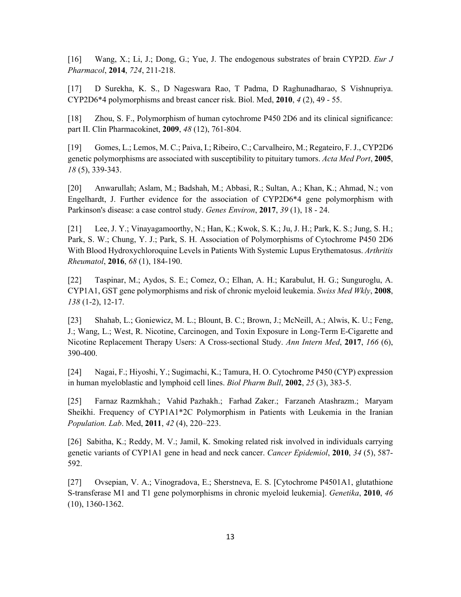[16] Wang, X.; Li, J.; Dong, G.; Yue, J. The endogenous substrates of brain CYP2D. *Eur J Pharmacol*, **2014**, *724*, 211-218.

[17] D Surekha, K. S., D Nageswara Rao, T Padma, D Raghunadharao, S Vishnupriya. CYP2D6\*4 polymorphisms and breast cancer risk. Biol. Med, **2010**, *4* (2), 49 - 55.

[18] Zhou, S. F., Polymorphism of human cytochrome P450 2D6 and its clinical significance: part II. Clin Pharmacokinet, **2009**, *48* (12), 761-804.

[19] Gomes, L.; Lemos, M. C.; Paiva, I.; Ribeiro, C.; Carvalheiro, M.; Regateiro, F. J., CYP2D6 genetic polymorphisms are associated with susceptibility to pituitary tumors. *Acta Med Port*, **2005**, *18* (5), 339-343.

[20] Anwarullah; Aslam, M.; Badshah, M.; Abbasi, R.; Sultan, A.; Khan, K.; Ahmad, N.; von Engelhardt, J. Further evidence for the association of CYP2D6\*4 gene polymorphism with Parkinson's disease: a case control study. *Genes Environ*, **2017**, *39* (1), 18 - 24.

[21] Lee, J. Y.; Vinayagamoorthy, N.; Han, K.; Kwok, S. K.; Ju, J. H.; Park, K. S.; Jung, S. H.; Park, S. W.; Chung, Y. J.; Park, S. H. Association of Polymorphisms of Cytochrome P450 2D6 With Blood Hydroxychloroquine Levels in Patients With Systemic Lupus Erythematosus. *Arthritis Rheumatol*, **2016**, *68* (1), 184-190.

[22] Taspinar, M.; Aydos, S. E.; Comez, O.; Elhan, A. H.; Karabulut, H. G.; Sunguroglu, A. CYP1A1, GST gene polymorphisms and risk of chronic myeloid leukemia. *Swiss Med Wkly*, **2008**, *138* (1-2), 12-17.

[23] Shahab, L.; Goniewicz, M. L.; Blount, B. C.; Brown, J.; McNeill, A.; Alwis, K. U.; Feng, J.; Wang, L.; West, R. Nicotine, Carcinogen, and Toxin Exposure in Long-Term E-Cigarette and Nicotine Replacement Therapy Users: A Cross-sectional Study. *Ann Intern Med*, **2017**, *166* (6), 390-400.

[24] Nagai, F.; Hiyoshi, Y.; Sugimachi, K.; Tamura, H. O. Cytochrome P450 (CYP) expression in human myeloblastic and lymphoid cell lines. *Biol Pharm Bull*, **2002**, *25* (3), 383-5.

[25] Farnaz Razmkhah.; Vahid Pazhakh.; Farhad Zaker.; Farzaneh Atashrazm.; Maryam Sheikhi. Frequency of CYP1A1\*2C Polymorphism in Patients with Leukemia in the Iranian *Population. Lab*. Med, **2011**, *42* (4), 220–223.

[26] Sabitha, K.; Reddy, M. V.; Jamil, K. Smoking related risk involved in individuals carrying genetic variants of CYP1A1 gene in head and neck cancer. *Cancer Epidemiol*, **2010**, *34* (5), 587- 592.

[27] Ovsepian, V. A.; Vinogradova, E.; Sherstneva, E. S. [Cytochrome P4501A1, glutathione S-transferase M1 and T1 gene polymorphisms in chronic myeloid leukemia]. *Genetika*, **2010**, *46* (10), 1360-1362.